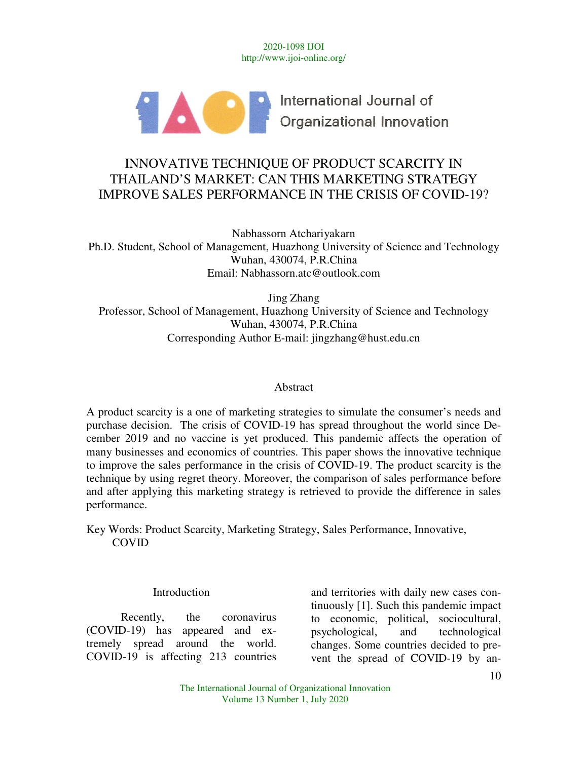2020-1098 IJOI http://www.ijoi-online.org/



# INNOVATIVE TECHNIQUE OF PRODUCT SCARCITY IN THAILAND'S MARKET: CAN THIS MARKETING STRATEGY IMPROVE SALES PERFORMANCE IN THE CRISIS OF COVID-19?

Nabhassorn Atchariyakarn Ph.D. Student, School of Management, Huazhong University of Science and Technology Wuhan, 430074, P.R.China Email: Nabhassorn.atc@outlook.com

Jing Zhang Professor, School of Management, Huazhong University of Science and Technology Wuhan, 430074, P.R.China Corresponding Author E-mail: jingzhang@hust.edu.cn

#### Abstract

A product scarcity is a one of marketing strategies to simulate the consumer's needs and purchase decision. The crisis of COVID-19 has spread throughout the world since December 2019 and no vaccine is yet produced. This pandemic affects the operation of many businesses and economics of countries. This paper shows the innovative technique to improve the sales performance in the crisis of COVID-19. The product scarcity is the technique by using regret theory. Moreover, the comparison of sales performance before and after applying this marketing strategy is retrieved to provide the difference in sales performance.

Key Words: Product Scarcity, Marketing Strategy, Sales Performance, Innovative, COVID

#### Introduction

 Recently, the coronavirus (COVID-19) has appeared and extremely spread around the world. COVID-19 is affecting 213 countries

and territories with daily new cases continuously [1]. Such this pandemic impact to economic, political, sociocultural, psychological, and technological changes. Some countries decided to prevent the spread of COVID-19 by an-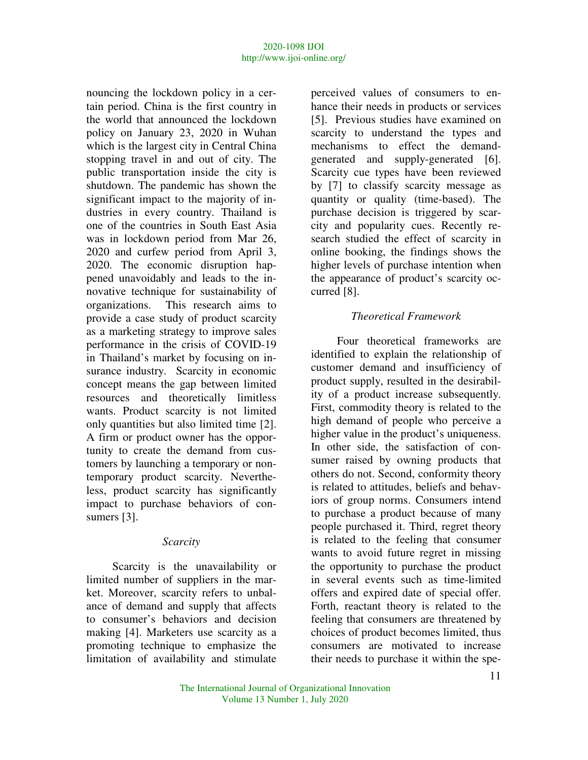nouncing the lockdown policy in a certain period. China is the first country in the world that announced the lockdown policy on January 23, 2020 in Wuhan which is the largest city in Central China stopping travel in and out of city. The public transportation inside the city is shutdown. The pandemic has shown the significant impact to the majority of industries in every country. Thailand is one of the countries in South East Asia was in lockdown period from Mar 26, 2020 and curfew period from April 3, 2020. The economic disruption happened unavoidably and leads to the innovative technique for sustainability of organizations. This research aims to provide a case study of product scarcity as a marketing strategy to improve sales performance in the crisis of COVID-19 in Thailand's market by focusing on insurance industry. Scarcity in economic concept means the gap between limited resources and theoretically limitless wants. Product scarcity is not limited only quantities but also limited time [2]. A firm or product owner has the opportunity to create the demand from customers by launching a temporary or nontemporary product scarcity. Nevertheless, product scarcity has significantly impact to purchase behaviors of consumers [3].

# *Scarcity*

 Scarcity is the unavailability or limited number of suppliers in the market. Moreover, scarcity refers to unbalance of demand and supply that affects to consumer's behaviors and decision making [4]. Marketers use scarcity as a promoting technique to emphasize the limitation of availability and stimulate

perceived values of consumers to enhance their needs in products or services [5]. Previous studies have examined on scarcity to understand the types and mechanisms to effect the demandgenerated and supply-generated [6]. Scarcity cue types have been reviewed by [7] to classify scarcity message as quantity or quality (time-based). The purchase decision is triggered by scarcity and popularity cues. Recently research studied the effect of scarcity in online booking, the findings shows the higher levels of purchase intention when the appearance of product's scarcity occurred [8].

# *Theoretical Framework*

 Four theoretical frameworks are identified to explain the relationship of customer demand and insufficiency of product supply, resulted in the desirability of a product increase subsequently. First, commodity theory is related to the high demand of people who perceive a higher value in the product's uniqueness. In other side, the satisfaction of consumer raised by owning products that others do not. Second, conformity theory is related to attitudes, beliefs and behaviors of group norms. Consumers intend to purchase a product because of many people purchased it. Third, regret theory is related to the feeling that consumer wants to avoid future regret in missing the opportunity to purchase the product in several events such as time-limited offers and expired date of special offer. Forth, reactant theory is related to the feeling that consumers are threatened by choices of product becomes limited, thus consumers are motivated to increase their needs to purchase it within the spe-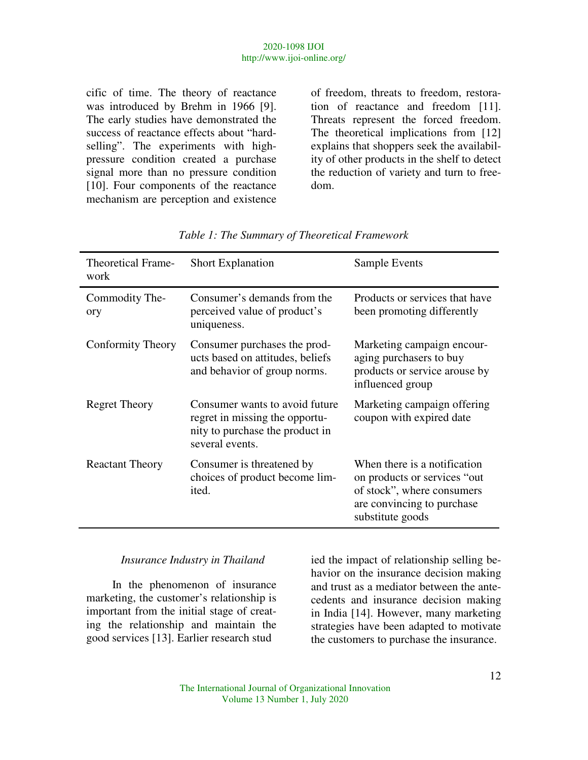cific of time. The theory of reactance was introduced by Brehm in 1966 [9]. The early studies have demonstrated the success of reactance effects about "hardselling". The experiments with highpressure condition created a purchase signal more than no pressure condition [10]. Four components of the reactance mechanism are perception and existence

of freedom, threats to freedom, restoration of reactance and freedom [11]. Threats represent the forced freedom. The theoretical implications from [12] explains that shoppers seek the availability of other products in the shelf to detect the reduction of variety and turn to freedom.

| <b>Theoretical Frame-</b><br>work | <b>Short Explanation</b>                                                                                               | Sample Events                                                                                                                                |
|-----------------------------------|------------------------------------------------------------------------------------------------------------------------|----------------------------------------------------------------------------------------------------------------------------------------------|
| Commodity The-<br>ory             | Consumer's demands from the<br>perceived value of product's<br>uniqueness.                                             | Products or services that have<br>been promoting differently                                                                                 |
| Conformity Theory                 | Consumer purchases the prod-<br>ucts based on attitudes, beliefs<br>and behavior of group norms.                       | Marketing campaign encour-<br>aging purchasers to buy<br>products or service arouse by<br>influenced group                                   |
| <b>Regret Theory</b>              | Consumer wants to avoid future<br>regret in missing the opportu-<br>nity to purchase the product in<br>several events. | Marketing campaign offering<br>coupon with expired date                                                                                      |
| <b>Reactant Theory</b>            | Consumer is threatened by<br>choices of product become lim-<br>ited.                                                   | When there is a notification<br>on products or services "out<br>of stock", where consumers<br>are convincing to purchase<br>substitute goods |

### *Table 1: The Summary of Theoretical Framework*

#### *Insurance Industry in Thailand*

 In the phenomenon of insurance marketing, the customer's relationship is important from the initial stage of creating the relationship and maintain the good services [13]. Earlier research stud

ied the impact of relationship selling behavior on the insurance decision making and trust as a mediator between the antecedents and insurance decision making in India [14]. However, many marketing strategies have been adapted to motivate the customers to purchase the insurance.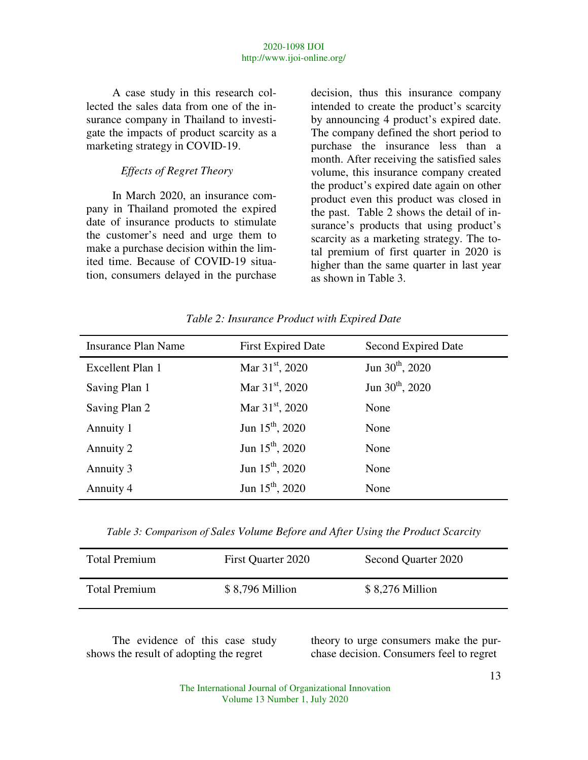A case study in this research collected the sales data from one of the insurance company in Thailand to investigate the impacts of product scarcity as a marketing strategy in COVID-19.

### *Effects of Regret Theory*

 In March 2020, an insurance company in Thailand promoted the expired date of insurance products to stimulate the customer's need and urge them to make a purchase decision within the limited time. Because of COVID-19 situation, consumers delayed in the purchase

decision, thus this insurance company intended to create the product's scarcity by announcing 4 product's expired date. The company defined the short period to purchase the insurance less than a month. After receiving the satisfied sales volume, this insurance company created the product's expired date again on other product even this product was closed in the past. Table 2 shows the detail of insurance's products that using product's scarcity as a marketing strategy. The total premium of first quarter in 2020 is higher than the same quarter in last year as shown in Table 3.

|  | Table 2: Insurance Product with Expired Date |  |  |
|--|----------------------------------------------|--|--|
|--|----------------------------------------------|--|--|

| Insurance Plan Name | <b>First Expired Date</b> | Second Expired Date  |
|---------------------|---------------------------|----------------------|
| Excellent Plan 1    | Mar $31^{\rm st}$ , 2020  | Jun $30^{th}$ , 2020 |
| Saving Plan 1       | Mar $31st$ , 2020         | Jun $30^{th}$ , 2020 |
| Saving Plan 2       | Mar $31st$ , 2020         | None                 |
| Annuity 1           | Jun $15^{th}$ , 2020      | None                 |
| Annuity 2           | Jun $15^{th}$ , 2020      | None                 |
| Annuity 3           | Jun $15^{th}$ , 2020      | None                 |
| Annuity 4           | Jun $15^{th}$ , 2020      | None                 |

*Table 3: Comparison of Sales Volume Before and After Using the Product Scarcity*

| <b>Total Premium</b> | First Quarter 2020 | Second Quarter 2020 |
|----------------------|--------------------|---------------------|
| <b>Total Premium</b> | \$8,796 Million    | \$8,276 Million     |

 The evidence of this case study shows the result of adopting the regret

theory to urge consumers make the purchase decision. Consumers feel to regret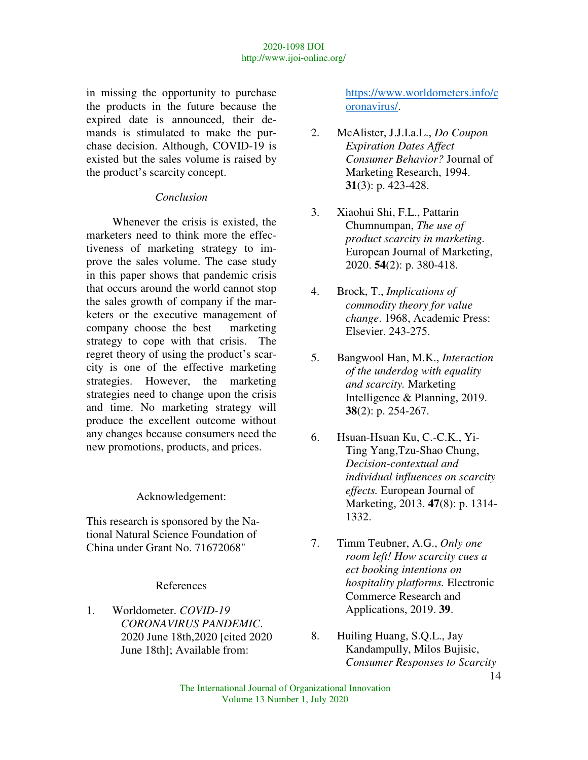in missing the opportunity to purchase the products in the future because the expired date is announced, their demands is stimulated to make the purchase decision. Although, COVID-19 is existed but the sales volume is raised by the product's scarcity concept.

#### *Conclusion*

 Whenever the crisis is existed, the marketers need to think more the effectiveness of marketing strategy to improve the sales volume. The case study in this paper shows that pandemic crisis that occurs around the world cannot stop the sales growth of company if the marketers or the executive management of company choose the best marketing strategy to cope with that crisis. The regret theory of using the product's scarcity is one of the effective marketing strategies. However, the marketing strategies need to change upon the crisis and time. No marketing strategy will produce the excellent outcome without any changes because consumers need the new promotions, products, and prices.

#### Acknowledgement:

This research is sponsored by the National Natural Science Foundation of China under Grant No. 71672068"

#### References

1. Worldometer. *COVID-19 CORONAVIRUS PANDEMIC*. 2020 June 18th,2020 [cited 2020 June 18th]; Available from:

https://www.worldometers.info/c oronavirus/.

- 2. McAlister, J.J.I.a.L., *Do Coupon Expiration Dates Affect Consumer Behavior?* Journal of Marketing Research, 1994. **31**(3): p. 423-428.
- 3. Xiaohui Shi, F.L., Pattarin Chumnumpan, *The use of product scarcity in marketing.* European Journal of Marketing, 2020. **54**(2): p. 380-418.
- 4. Brock, T., *Implications of commodity theory for value change*. 1968, Academic Press: Elsevier. 243-275.
- 5. Bangwool Han, M.K., *Interaction of the underdog with equality and scarcity.* Marketing Intelligence & Planning, 2019. **38**(2): p. 254-267.
- 6. Hsuan-Hsuan Ku, C.-C.K., Yi-Ting Yang,Tzu-Shao Chung, *Decision-contextual and individual influences on scarcity effects.* European Journal of Marketing, 2013. **47**(8): p. 1314- 1332.
- 7. Timm Teubner, A.G., *Only one room left! How scarcity cues a ect booking intentions on hospitality platforms.* Electronic Commerce Research and Applications, 2019. **39**.
- 8. Huiling Huang, S.Q.L., Jay Kandampully, Milos Bujisic, *Consumer Responses to Scarcity*